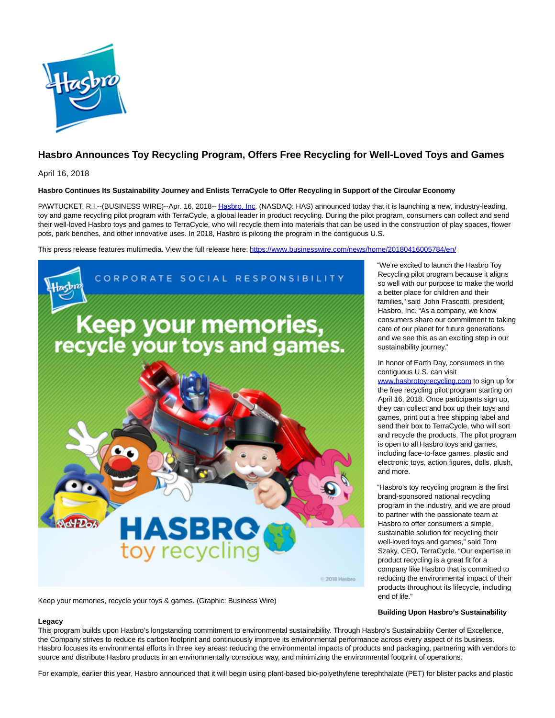

## **Hasbro Announces Toy Recycling Program, Offers Free Recycling for Well-Loved Toys and Games**

April 16, 2018

**Legacy**

## **Hasbro Continues Its Sustainability Journey and Enlists TerraCycle to Offer Recycling in Support of the Circular Economy**

PAWTUCKET, R.I.--(BUSINESS WIRE)--Apr. 16, 2018-- [Hasbro, Inc.](http://cts.businesswire.com/ct/CT?id=smartlink&url=http%3A%2F%2Fwww.hasbro.com%2F&esheet=51788158&newsitemid=20180416005784&lan=en-US&anchor=Hasbro%2C+Inc&index=1&md5=b1fe299ea5e55d2b319aa84886642a12) (NASDAQ: HAS) announced today that it is launching a new, industry-leading, toy and game recycling pilot program with TerraCycle, a global leader in product recycling. During the pilot program, consumers can collect and send their well-loved Hasbro toys and games to TerraCycle, who will recycle them into materials that can be used in the construction of play spaces, flower pots, park benches, and other innovative uses. In 2018, Hasbro is piloting the program in the contiguous U.S.

This press release features multimedia. View the full release here:<https://www.businesswire.com/news/home/20180416005784/en/>



Keep your memories, recycle your toys & games. (Graphic: Business Wire)

"We're excited to launch the Hasbro Toy Recycling pilot program because it aligns so well with our purpose to make the world a better place for children and their families," said John Frascotti, president, Hasbro, Inc. "As a company, we know consumers share our commitment to taking care of our planet for future generations, and we see this as an exciting step in our sustainability journey."

In honor of Earth Day, consumers in the contiguous U.S. can visit

www.hasbrotovrecycling.com to sign up for the free recycling pilot program starting on April 16, 2018. Once participants sign up, they can collect and box up their toys and games, print out a free shipping label and send their box to TerraCycle, who will sort and recycle the products. The pilot program is open to all Hasbro toys and games, including face-to-face games, plastic and electronic toys, action figures, dolls, plush, and more.

"Hasbro's toy recycling program is the first brand-sponsored national recycling program in the industry, and we are proud to partner with the passionate team at Hasbro to offer consumers a simple, sustainable solution for recycling their well-loved toys and games," said Tom Szaky, CEO, TerraCycle. "Our expertise in product recycling is a great fit for a company like Hasbro that is committed to reducing the environmental impact of their products throughout its lifecycle, including end of life."

## **Building Upon Hasbro's Sustainability**

This program builds upon Hasbro's longstanding commitment to environmental sustainability. Through Hasbro's Sustainability Center of Excellence, the Company strives to reduce its carbon footprint and continuously improve its environmental performance across every aspect of its business. Hasbro focuses its environmental efforts in three key areas: reducing the environmental impacts of products and packaging, partnering with vendors to source and distribute Hasbro products in an environmentally conscious way, and minimizing the environmental footprint of operations.

For example, earlier this year, Hasbro announced that it will begin using plant-based bio-polyethylene terephthalate (PET) for blister packs and plastic